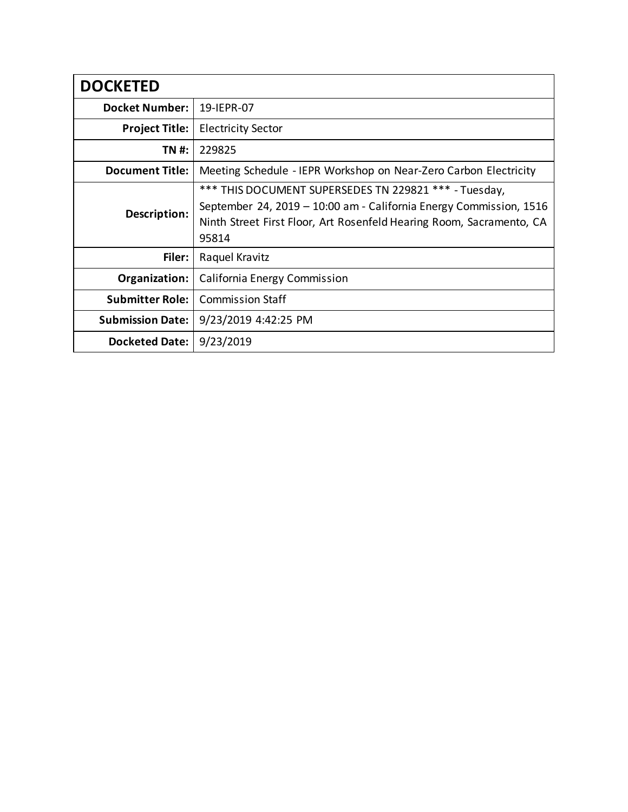| <b>DOCKETED</b>         |                                                                      |
|-------------------------|----------------------------------------------------------------------|
| <b>Docket Number:</b>   | 19-IEPR-07                                                           |
| <b>Project Title:</b>   | <b>Electricity Sector</b>                                            |
| TN #:                   | 229825                                                               |
| <b>Document Title:</b>  | Meeting Schedule - IEPR Workshop on Near-Zero Carbon Electricity     |
| Description:            | *** THIS DOCUMENT SUPERSEDES TN 229821 *** - Tuesday,                |
|                         | September 24, 2019 – 10:00 am - California Energy Commission, 1516   |
|                         | Ninth Street First Floor, Art Rosenfeld Hearing Room, Sacramento, CA |
|                         | 95814                                                                |
| Filer:                  | Raquel Kravitz                                                       |
| Organization:           | California Energy Commission                                         |
| <b>Submitter Role:</b>  | <b>Commission Staff</b>                                              |
| <b>Submission Date:</b> | 9/23/2019 4:42:25 PM                                                 |
| <b>Docketed Date:</b>   | 9/23/2019                                                            |